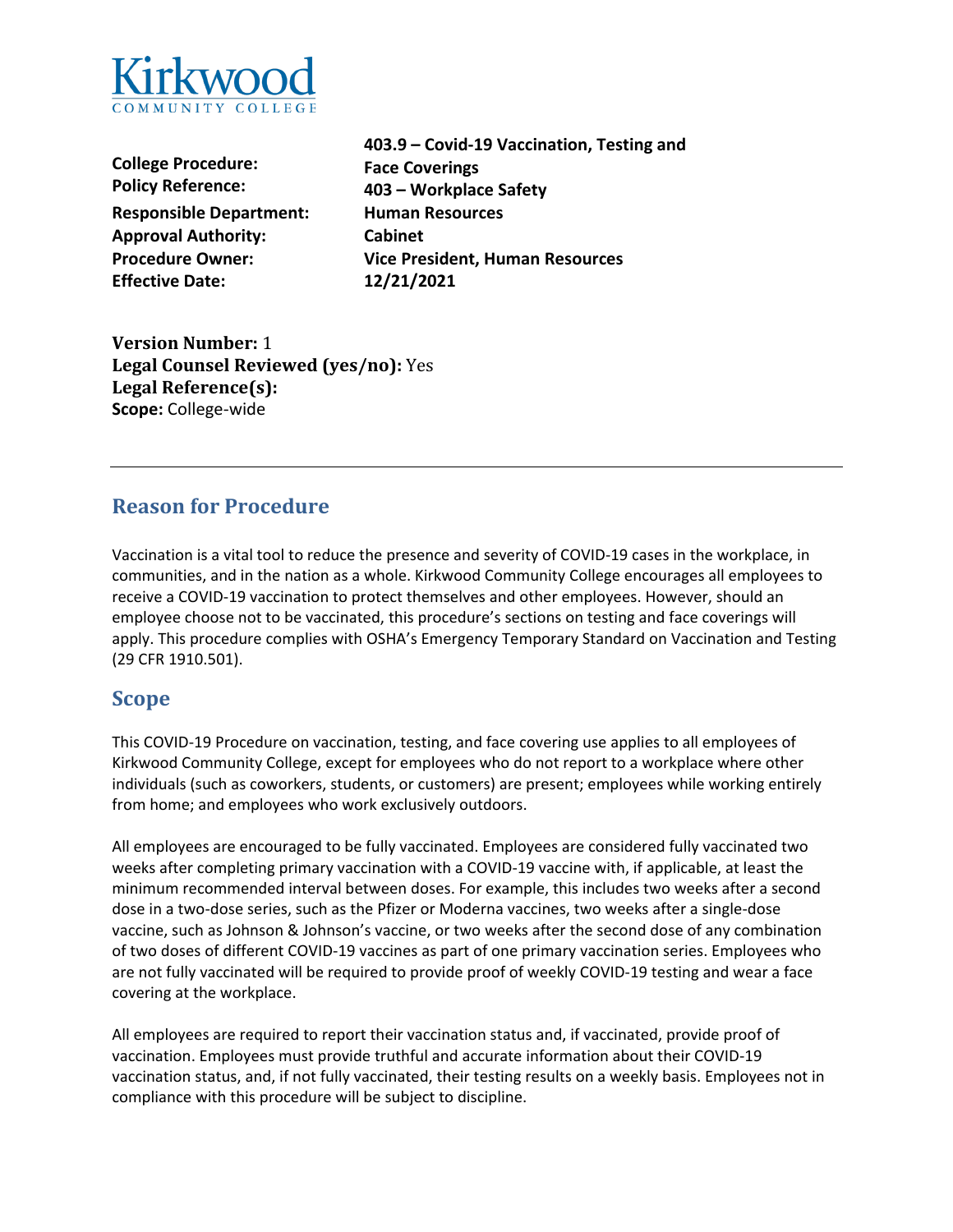

**College Procedure: Policy Reference: Responsible Department: Human Resources Approval Authority: Cabinet Effective Date: 12/21/2021**

**403.9 – Covid-19 Vaccination, Testing and Face Coverings 403 – Workplace Safety Procedure Owner: Vice President, Human Resources**

**Version Number:** 1 **Legal Counsel Reviewed (yes/no):** Yes **Legal Reference(s): Scope:** College-wide

# **Reason for Procedure**

Vaccination is a vital tool to reduce the presence and severity of COVID-19 cases in the workplace, in communities, and in the nation as a whole. Kirkwood Community College encourages all employees to receive a COVID-19 vaccination to protect themselves and other employees. However, should an employee choose not to be vaccinated, this procedure's sections on testing and face coverings will apply. This procedure complies with OSHA's Emergency Temporary Standard on Vaccination and Testing (29 CFR 1910.501).

# **Scope**

This COVID-19 Procedure on vaccination, testing, and face covering use applies to all employees of Kirkwood Community College, except for employees who do not report to a workplace where other individuals (such as coworkers, students, or customers) are present; employees while working entirely from home; and employees who work exclusively outdoors.

All employees are encouraged to be fully vaccinated. Employees are considered fully vaccinated two weeks after completing primary vaccination with a COVID-19 vaccine with, if applicable, at least the minimum recommended interval between doses. For example, this includes two weeks after a second dose in a two-dose series, such as the Pfizer or Moderna vaccines, two weeks after a single-dose vaccine, such as Johnson & Johnson's vaccine, or two weeks after the second dose of any combination of two doses of different COVID-19 vaccines as part of one primary vaccination series. Employees who are not fully vaccinated will be required to provide proof of weekly COVID-19 testing and wear a face covering at the workplace.

All employees are required to report their vaccination status and, if vaccinated, provide proof of vaccination. Employees must provide truthful and accurate information about their COVID-19 vaccination status, and, if not fully vaccinated, their testing results on a weekly basis. Employees not in compliance with this procedure will be subject to discipline.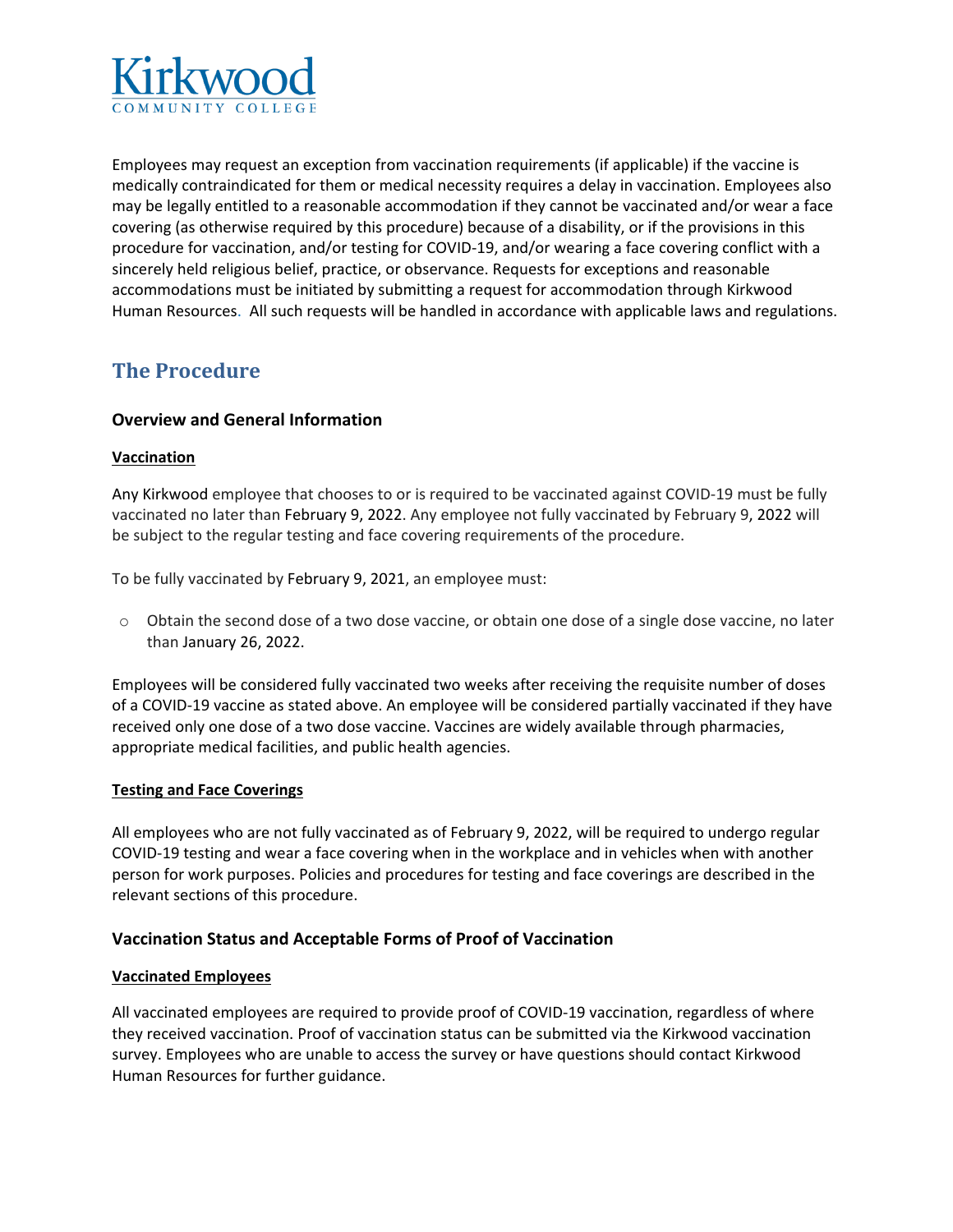

Employees may request an exception from vaccination requirements (if applicable) if the vaccine is medically contraindicated for them or medical necessity requires a delay in vaccination. Employees also may be legally entitled to a reasonable accommodation if they cannot be vaccinated and/or wear a face covering (as otherwise required by this procedure) because of a disability, or if the provisions in this procedure for vaccination, and/or testing for COVID-19, and/or wearing a face covering conflict with a sincerely held religious belief, practice, or observance. Requests for exceptions and reasonable accommodations must be initiated by submitting a request for accommodation through Kirkwood Human Resources. All such requests will be handled in accordance with applicable laws and regulations.

# **The Procedure**

# **Overview and General Information**

#### **Vaccination**

Any Kirkwood employee that chooses to or is required to be vaccinated against COVID-19 must be fully vaccinated no later than February 9, 2022. Any employee not fully vaccinated by February 9, 2022 will be subject to the regular testing and face covering requirements of the procedure.

To be fully vaccinated by February 9, 2021, an employee must:

o Obtain the second dose of a two dose vaccine, or obtain one dose of a single dose vaccine, no later than January 26, 2022.

Employees will be considered fully vaccinated two weeks after receiving the requisite number of doses of a COVID-19 vaccine as stated above. An employee will be considered partially vaccinated if they have received only one dose of a two dose vaccine. Vaccines are widely available through pharmacies, appropriate medical facilities, and public health agencies.

#### **Testing and Face Coverings**

All employees who are not fully vaccinated as of February 9, 2022, will be required to undergo regular COVID-19 testing and wear a face covering when in the workplace and in vehicles when with another person for work purposes. Policies and procedures for testing and face coverings are described in the relevant sections of this procedure.

#### **Vaccination Status and Acceptable Forms of Proof of Vaccination**

#### **Vaccinated Employees**

All vaccinated employees are required to provide proof of COVID-19 vaccination, regardless of where they received vaccination. Proof of vaccination status can be submitted via the Kirkwood vaccination survey. Employees who are unable to access the survey or have questions should contact Kirkwood Human Resources for further guidance.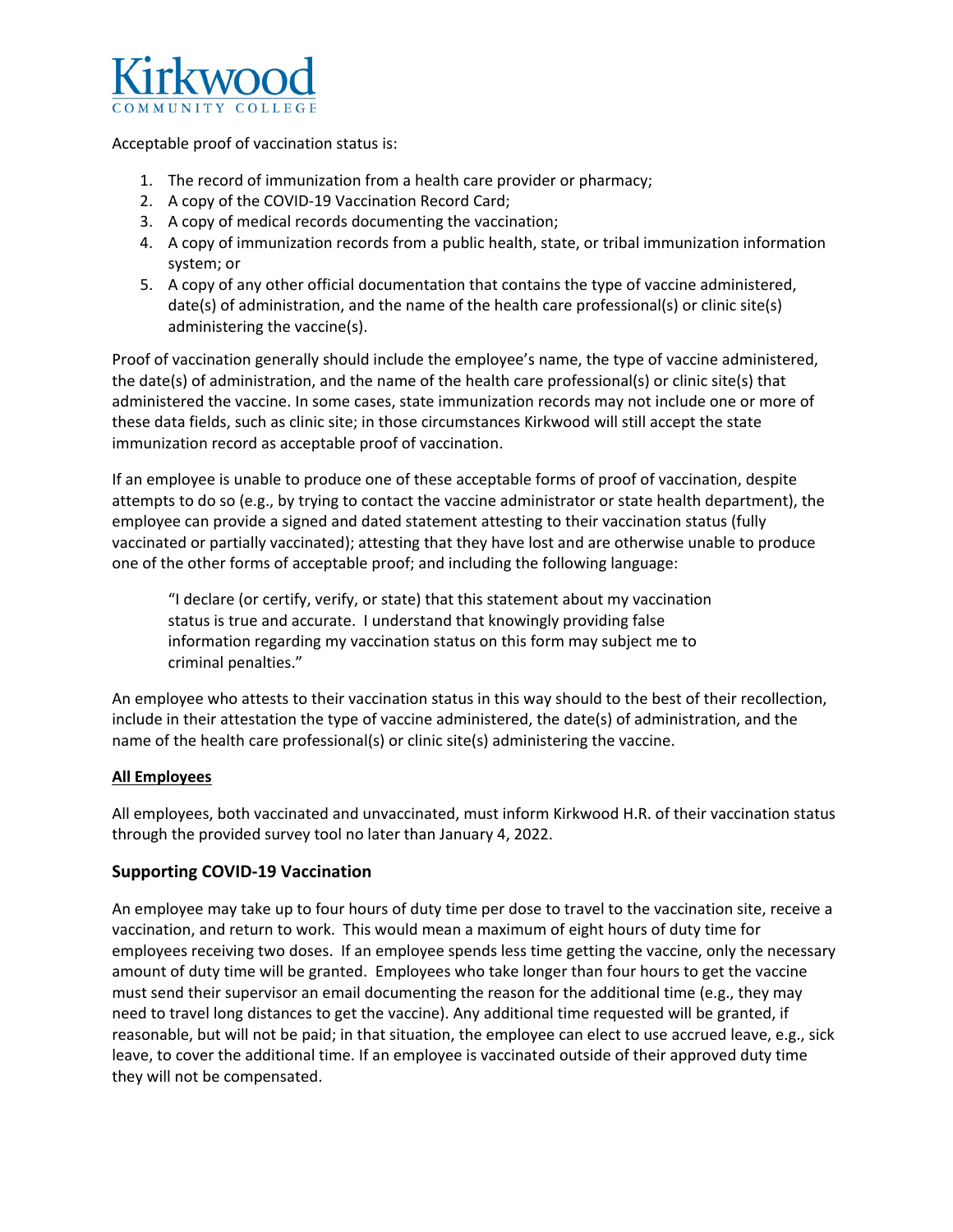

Acceptable proof of vaccination status is:

- 1. The record of immunization from a health care provider or pharmacy;
- 2. A copy of the COVID-19 Vaccination Record Card;
- 3. A copy of medical records documenting the vaccination;
- 4. A copy of immunization records from a public health, state, or tribal immunization information system; or
- 5. A copy of any other official documentation that contains the type of vaccine administered, date(s) of administration, and the name of the health care professional(s) or clinic site(s) administering the vaccine(s).

Proof of vaccination generally should include the employee's name, the type of vaccine administered, the date(s) of administration, and the name of the health care professional(s) or clinic site(s) that administered the vaccine. In some cases, state immunization records may not include one or more of these data fields, such as clinic site; in those circumstances Kirkwood will still accept the state immunization record as acceptable proof of vaccination.

If an employee is unable to produce one of these acceptable forms of proof of vaccination, despite attempts to do so (e.g., by trying to contact the vaccine administrator or state health department), the employee can provide a signed and dated statement attesting to their vaccination status (fully vaccinated or partially vaccinated); attesting that they have lost and are otherwise unable to produce one of the other forms of acceptable proof; and including the following language:

"I declare (or certify, verify, or state) that this statement about my vaccination status is true and accurate. I understand that knowingly providing false information regarding my vaccination status on this form may subject me to criminal penalties."

An employee who attests to their vaccination status in this way should to the best of their recollection, include in their attestation the type of vaccine administered, the date(s) of administration, and the name of the health care professional(s) or clinic site(s) administering the vaccine.

# **All Employees**

All employees, both vaccinated and unvaccinated, must inform Kirkwood H.R. of their vaccination status through the provided survey tool no later than January 4, 2022.

# **Supporting COVID-19 Vaccination**

An employee may take up to four hours of duty time per dose to travel to the vaccination site, receive a vaccination, and return to work. This would mean a maximum of eight hours of duty time for employees receiving two doses. If an employee spends less time getting the vaccine, only the necessary amount of duty time will be granted. Employees who take longer than four hours to get the vaccine must send their supervisor an email documenting the reason for the additional time (e.g., they may need to travel long distances to get the vaccine). Any additional time requested will be granted, if reasonable, but will not be paid; in that situation, the employee can elect to use accrued leave, e.g., sick leave, to cover the additional time. If an employee is vaccinated outside of their approved duty time they will not be compensated.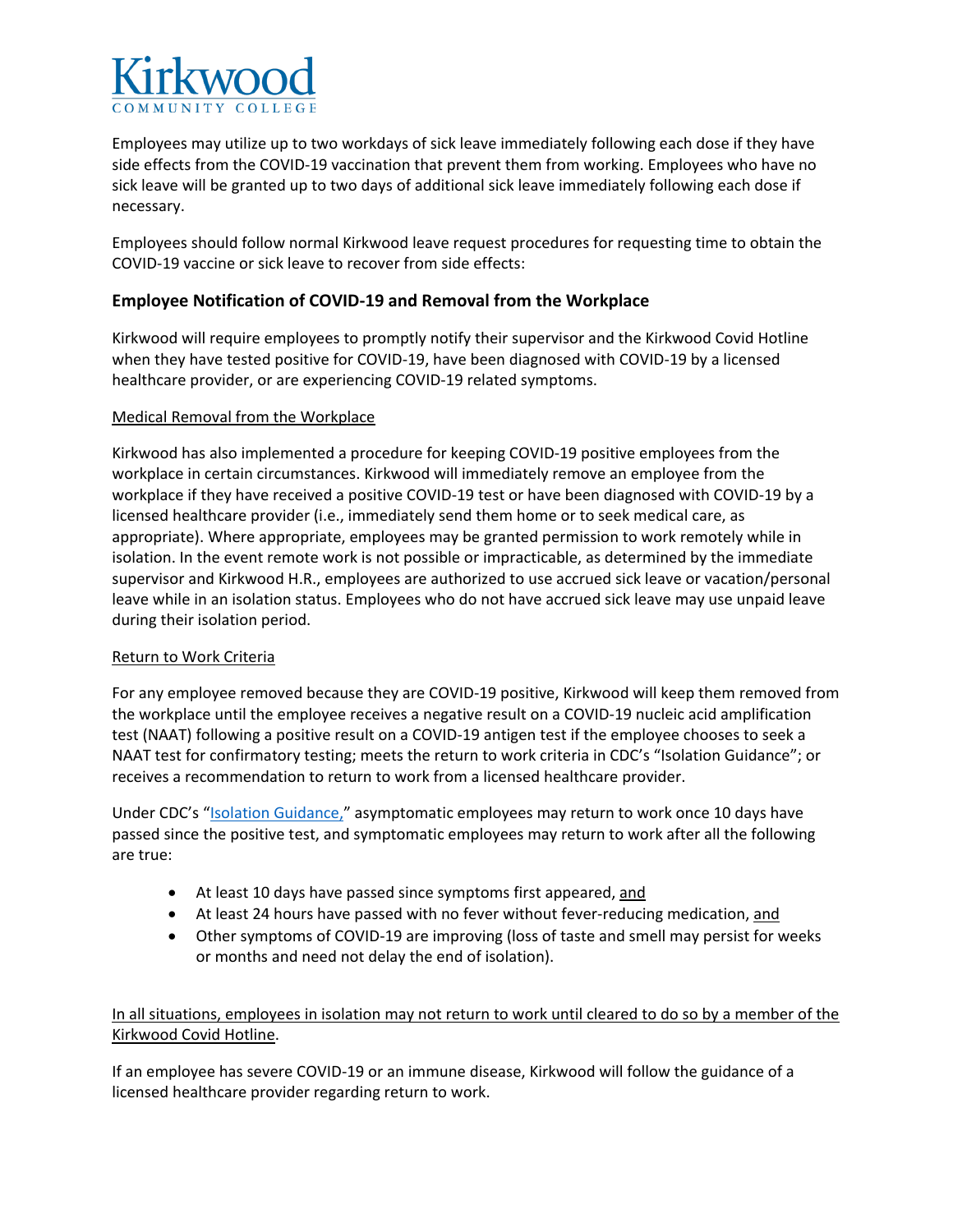

Employees may utilize up to two workdays of sick leave immediately following each dose if they have side effects from the COVID-19 vaccination that prevent them from working. Employees who have no sick leave will be granted up to two days of additional sick leave immediately following each dose if necessary.

Employees should follow normal Kirkwood leave request procedures for requesting time to obtain the COVID-19 vaccine or sick leave to recover from side effects:

# **Employee Notification of COVID-19 and Removal from the Workplace**

Kirkwood will require employees to promptly notify their supervisor and the Kirkwood Covid Hotline when they have tested positive for COVID-19, have been diagnosed with COVID-19 by a licensed healthcare provider, or are experiencing COVID-19 related symptoms.

#### Medical Removal from the Workplace

Kirkwood has also implemented a procedure for keeping COVID-19 positive employees from the workplace in certain circumstances. Kirkwood will immediately remove an employee from the workplace if they have received a positive COVID-19 test or have been diagnosed with COVID-19 by a licensed healthcare provider (i.e., immediately send them home or to seek medical care, as appropriate). Where appropriate, employees may be granted permission to work remotely while in isolation. In the event remote work is not possible or impracticable, as determined by the immediate supervisor and Kirkwood H.R., employees are authorized to use accrued sick leave or vacation/personal leave while in an isolation status. Employees who do not have accrued sick leave may use unpaid leave during their isolation period.

#### Return to Work Criteria

For any employee removed because they are COVID-19 positive, Kirkwood will keep them removed from the workplace until the employee receives a negative result on a COVID-19 nucleic acid amplification test (NAAT) following a positive result on a COVID-19 antigen test if the employee chooses to seek a NAAT test for confirmatory testing; meets the return to work criteria in CDC's "Isolation Guidance"; or receives a recommendation to return to work from a licensed healthcare provider.

Under CDC's "**Isolation Guidance,**" asymptomatic employees may return to work once 10 days have passed since the positive test, and symptomatic employees may return to work after all the following are true:

- At least 10 days have passed since symptoms first appeared, and
- At least 24 hours have passed with no fever without fever-reducing medication, and
- Other symptoms of COVID-19 are improving (loss of taste and smell may persist for weeks or months and need not delay the end of isolation).

In all situations, employees in isolation may not return to work until cleared to do so by a member of the Kirkwood Covid Hotline.

If an employee has severe COVID-19 or an immune disease, Kirkwood will follow the guidance of a licensed healthcare provider regarding return to work.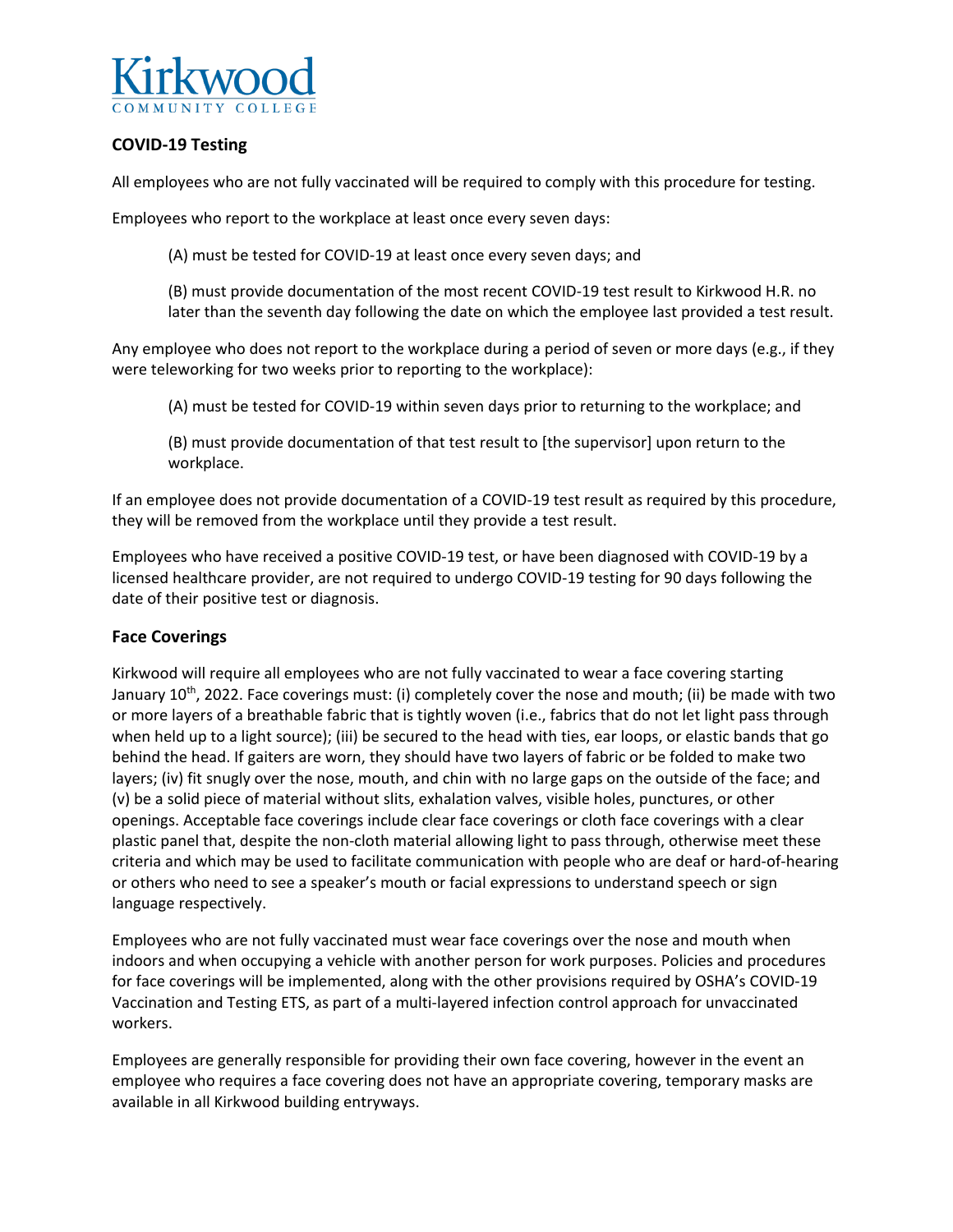

# **COVID-19 Testing**

All employees who are not fully vaccinated will be required to comply with this procedure for testing.

Employees who report to the workplace at least once every seven days:

(A) must be tested for COVID-19 at least once every seven days; and

(B) must provide documentation of the most recent COVID-19 test result to Kirkwood H.R. no later than the seventh day following the date on which the employee last provided a test result.

Any employee who does not report to the workplace during a period of seven or more days (e.g., if they were teleworking for two weeks prior to reporting to the workplace):

(A) must be tested for COVID-19 within seven days prior to returning to the workplace; and

(B) must provide documentation of that test result to [the supervisor] upon return to the workplace.

If an employee does not provide documentation of a COVID-19 test result as required by this procedure, they will be removed from the workplace until they provide a test result.

Employees who have received a positive COVID-19 test, or have been diagnosed with COVID-19 by a licensed healthcare provider, are not required to undergo COVID-19 testing for 90 days following the date of their positive test or diagnosis.

#### **Face Coverings**

Kirkwood will require all employees who are not fully vaccinated to wear a face covering starting January 10<sup>th</sup>, 2022. Face coverings must: (i) completely cover the nose and mouth; (ii) be made with two or more layers of a breathable fabric that is tightly woven (i.e., fabrics that do not let light pass through when held up to a light source); (iii) be secured to the head with ties, ear loops, or elastic bands that go behind the head. If gaiters are worn, they should have two layers of fabric or be folded to make two layers; (iv) fit snugly over the nose, mouth, and chin with no large gaps on the outside of the face; and (v) be a solid piece of material without slits, exhalation valves, visible holes, punctures, or other openings. Acceptable face coverings include clear face coverings or cloth face coverings with a clear plastic panel that, despite the non-cloth material allowing light to pass through, otherwise meet these criteria and which may be used to facilitate communication with people who are deaf or hard-of-hearing or others who need to see a speaker's mouth or facial expressions to understand speech or sign language respectively.

Employees who are not fully vaccinated must wear face coverings over the nose and mouth when indoors and when occupying a vehicle with another person for work purposes. Policies and procedures for face coverings will be implemented, along with the other provisions required by OSHA's COVID-19 Vaccination and Testing ETS, as part of a multi-layered infection control approach for unvaccinated workers.

Employees are generally responsible for providing their own face covering, however in the event an employee who requires a face covering does not have an appropriate covering, temporary masks are available in all Kirkwood building entryways.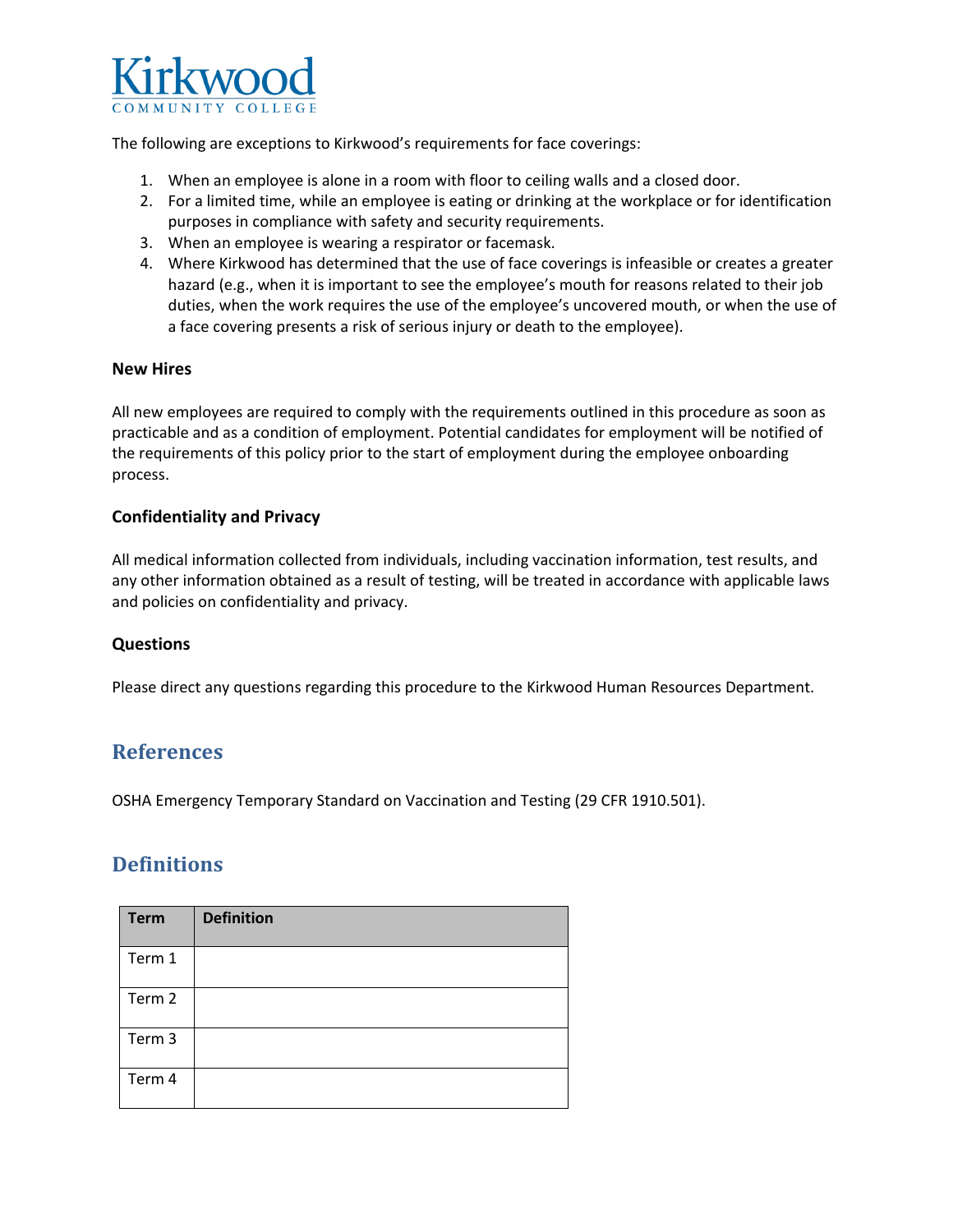

The following are exceptions to Kirkwood's requirements for face coverings:

- 1. When an employee is alone in a room with floor to ceiling walls and a closed door.
- 2. For a limited time, while an employee is eating or drinking at the workplace or for identification purposes in compliance with safety and security requirements.
- 3. When an employee is wearing a respirator or facemask.
- 4. Where Kirkwood has determined that the use of face coverings is infeasible or creates a greater hazard (e.g., when it is important to see the employee's mouth for reasons related to their job duties, when the work requires the use of the employee's uncovered mouth, or when the use of a face covering presents a risk of serious injury or death to the employee).

#### **New Hires**

All new employees are required to comply with the requirements outlined in this procedure as soon as practicable and as a condition of employment. Potential candidates for employment will be notified of the requirements of this policy prior to the start of employment during the employee onboarding process.

#### **Confidentiality and Privacy**

All medical information collected from individuals, including vaccination information, test results, and any other information obtained as a result of testing, will be treated in accordance with applicable laws and policies on confidentiality and privacy.

#### **Questions**

Please direct any questions regarding this procedure to the Kirkwood Human Resources Department.

# **References**

OSHA Emergency Temporary Standard on Vaccination and Testing (29 CFR 1910.501).

# **Definitions**

| <b>Term</b> | <b>Definition</b> |
|-------------|-------------------|
| Term 1      |                   |
| Term 2      |                   |
| Term 3      |                   |
| Term 4      |                   |